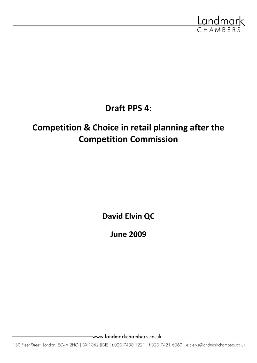

**Draft PPS 4:**

# **Competition & Choice in retail planning after the Competition Commission**

**David Elvin QC**

**June 2009**

www.landmarkchambers.co.uk\_

180 Fleet Street, London, EC4A 2HG | DX:1042 (LDE) | t.020 7430 1221 | f.020 7421 6060 | e.clerks@landmarkchambers.co.uk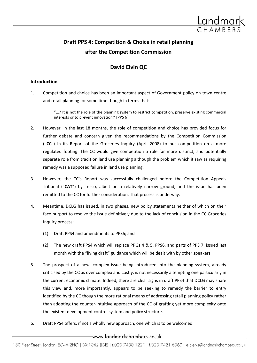

## **Draft PPS 4: Competition & Choice in retail planning after the Competition Commission**

### **David Elvin QC**

#### **Introduction**

1. Competition and choice has been an important aspect of Government policy on town centre and retail planning for some time though in terms that:

> "1.7 It is not the role of the planning system to restrict competition, preserve existing commercial interests or to prevent innovation."  $[PPS 6]$

- 2. However, in the last 18 months, the role of competition and choice has provided focus for further debate and concern given the recommendations by the Competition Commission ("**CC**") in its Report of the Groceries Inquiry (April 2008) to put competition on a more regulated footing. The CC would give competition a role far more distinct, and potentially separate role from tradition land use planning although the problem which it saw as requiring remedy was a supposed failure in land use planning.
- 3. However, the CC's Report was successfully challenged before the Competition Appeals Tribunal ("**CAT**") by Tesco, albeit on a relatively narrow ground, and the issue has been remitted to the CC for further consideration. That process is underway.
- 4. Meantime, DCLG has issued, in two phases, new policy statements neither of which on their face purport to resolve the issue definitively due to the lack of conclusion in the CC Groceries Inquiry process:
	- (1) Draft PPS4 and amendments to PPS6; and
	- (2) The new draft PPS4 which will replace PPGs 4 & 5, PPS6, and parts of PPS 7, issued last month with the "living draft" guidance which will be dealt with by other speakers.
- 5. The prospect of a new, complex issue being introduced into the planning system, already criticised by the CC as over complex and costly, is not necessarily a tempting one particularly in the current economic climate. Indeed, there are clear signs in draft PPS4 that DCLG may share this view and, more importantly, appears to be seeking to remedy the barrier to entry identified by the CC though the more rational means of addressing retail planning policy rather than adopting the counter-intuitive approach of the CC of grafting yet more complexity onto the existent development control system and policy structure.
- 6. Draft PPS4 offers, if not a wholly new approach, one which is to be welcomed: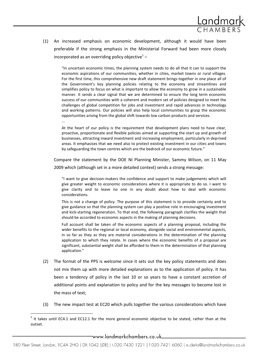

(1) An increased emphasis on economic development, although it would have been preferable if the strong emphasis in the Ministerial Forward had been more closely incorporated as an overriding policy objective $1$ -

"In uncertain economic times, the planning system needs to do all that it can to support the economic aspirations of our communities, whether in cities, market towns or rural villages. For the first time, this comprehensive new draft statement brings together in one place all of the Government's key planning policies relating to the economy and streamlines and simplifies policy to focus on what is important to allow the economy to grow in a sustainable manner. It sends a clear signal that we are determined to ensure the long term economic success of our communities with a coherent and modern set of policies designed to meet the challenges of global competition for jobs and investment and rapid advances in technology and working patterns. Our policies will also help local communities to grasp the economic opportunities arising from the global shift towards low carbon products and services. ...

At the heart of our policy is the requirement that development plans need to have clear, proactive, proportionate and flexible policies aimed at supporting the start up and growth of businesses, attracting inward investment and increasing employment, particularly in deprived areas. It emphasises that we need also to protect existing investment in our cities and towns by safeguarding the town centres which are the bedrock of our economic future."

Compare the statement by the DOE NI Planning Minister, Sammy Wilson, on 11 May 2009 which (although set in a more detailed context) sends a strong message:

"I want to give decision-makers the confidence and support to make judgements which will give greater weight to economic considerations where it is appropriate to do so. I want to give clarity and to leave no one in any doubt about how to deal with economic considerations.

This is not a change of policy. The purpose of this statement is to provide certainty and to give guidance so that the planning system can play a positive role in encouraging investment and kick-starting regeneration. To that end, the following paragraph clarifies the weight that should be accorded to economic aspects in the making of planning decisions.

Full account shall be taken of the economic aspects of a planning proposal, including the wider benefits to the regional or local economy, alongside social and environmental aspects, in so far as they as they are material considerations in the determination of the planning application to which they relate. In cases where the economic benefits of a proposal are significant, substantial weight shall be afforded to them in the determination of that planning application."

- (2) The format of the PPS is welcome since it sets out the key policy statements and does not mix them up with more detailed explanations as to the application of policy. It has been a tendency of policy in the last 10 or so years to have a constant accretion of additional points and explanation to policy and for the key messages to become lost in the mass of text;
- (3) The new impact test at EC20 which pulls together the various considerations which have

 $\overline{a}$ 

 $<sup>1</sup>$  It takes until EC4.1 and EC12.1 for the more general economic objective to be stated, rather than at the</sup> outset.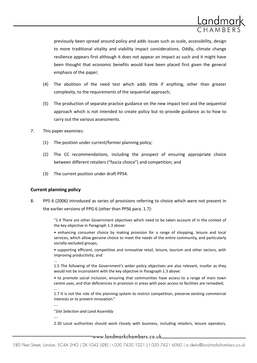

previously been spread around policy and adds issues such as scale, accessibility, design to more traditional vitality and viability impact considerations. Oddly, climate change resilience appears first although it does not appear an impact as such and it might have been thought that economic benefits would have been placed first given the general emphasis of the paper;

- (4) The abolition of the need test which adds little if anything, other than greater complexity, to the requirements of the sequential approach;
- (5) The production of separate practice guidance on the new impact test and the sequential approach which is not intended to create policy but to provide guidance as to how to carry out the various assessments.
- 7. This paper examines:
	- (1) The position under current/former planning policy;
	- (2) The CC recommendations, including the prospect of ensuring appropriate choice between different retailers ("fascia choice") and competition; and
	- (3) The current position under draft PPS4.

#### **Current planning policy**

8. PPS 6 (2006) introduced as series of provisions referring to choice which were not present in the earlier versions of PPG 6 (other than PPS6 para. 1.7):

> "1.4 There are other Government objectives which need to be taken account of in the context of the key objective in Paragraph 1.3 above:

> • enhancing consumer choice by making provision for a range of shopping, leisure and local services, which allow genuine choice to meet the needs of the entire community, and particularly socially-excluded groups;

> • supporting efficient, competitive and innovative retail, leisure, tourism and other sectors, with improving productivity; and

...

1.5 The following of the Government's wider policy objectives are also relevant, insofar as they would not be inconsistent with the key objective in Paragraph 1.3 above:

• to promote social inclusion, ensuring that communities have access to a range of main town centre uses, and that deficiencies in provision in areas with poor access to facilities are remedied; ...

1.7 It is not the role of the planning system to restrict competition, preserve existing commercial interests or to prevent innovation."

….

"*Site Selection and Land Assembly*

….

2.30 Local authorities should work closely with business, including retailers, leisure operators,

\_www.landmarkchambers.co.uk\_\_\_\_\_\_\_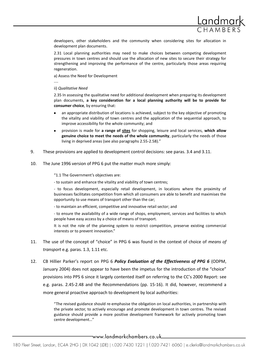

developers, other stakeholders and the community when considering sites for allocation in development plan documents.

2.31 Local planning authorities may need to make choices between competing development pressures in town centres and should use the allocation of new sites to secure their strategy for strengthening and improving the performance of the centre, particularly those areas requiring regeneration.

a) Assess the Need for Development

....

ii) *Qualitative Need*

2.35 In assessing the qualitative need for additional development when preparing its development plan documents, **a key consideration for a local planning authority will be to provide for consumer choice**, by ensuring that:

- an appropriate distribution of locations is achieved, subject to the key objective of promoting the vitality and viability of town centres and the application of the sequential approach, to improve accessibility for the whole community; and
- provision is made for **a range of sites** for shopping, leisure and local services, **which allow genuine choice to meet the needs of the whole community**, particularly the needs of those living in deprived areas (see also paragraphs 2.55-2.58)."
- 9. These provisions are applied to development control decisions: see paras. 3.4 and 3.11.
- 10. The June 1996 version of PPG 6 put the matter much more simply:

"1.1 The Government's objectives are:

- to sustain and enhance the vitality and viability of town centres;

- to focus development, especially retail development, in locations where the proximity of businesses facilitates competition from which all consumers are able to benefit and maximises the opportunity to use means of transport other than the car;

- to maintain an efficient, competitive and innovative retail sector; and

- to ensure the availability of a wide range of shops, employment, services and facilities to which people have easy access by a choice of means of transport.

It is not the role of the planning system to restrict competition, preserve existing commercial interests or to prevent innovation."

- 11. The use of the concept of "choice" in PPG 6 was found in the context of choice of *means of transport* e.g. paras. 1.3, 1.11 etc.
- 12. CB Hillier Parker's report on PPG 6 *Policy Evaluation of the Effectiveness of PPG 6* (ODPM, January 2004) does not appear to have been the impetus for the introduction of the "choice" provisions into PPS 6 since it largely contented itself on referring to the CC's 2000 Report: see e.g. paras. 2.45-2.48 and the Recommendations (pp. 15-16). It did, however, recommend a more general proactive approach to development by local authorities:

"The revised guidance should re-emphasise the obligation on local authorities, in partnership with the private sector, to actively encourage and promote development in town centres. The revised guidance should provide a more positive development framework for actively promoting town centre development…"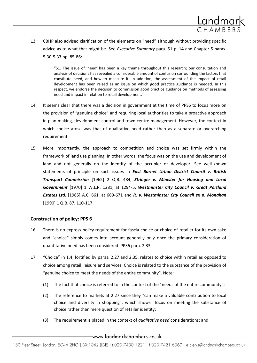

13. CBHP also advised clarification of the elements on "need" although without providing specific advice as to what that might be. See *Executive Summary* para. 51 p. 14 and Chapter 5 paras. 5.30-5.33 pp. 85-86:

> "51. The issue of 'need' has been a key theme throughout this research; our consultation and analysis of decisions has revealed a considerable amount of confusion surrounding the factors that constitute need, and how to measure it. In addition, the assessment of the impact of retail development has been raised as an issue on which good practice guidance is needed. In this respect, we endorse the decision to commission good practice guidance on methods of assessing need and impact in relation to retail development."

- 14. It seems clear that there was a decision in government at the time of PPS6 to focus more on the provision of "genuine choice" and requiring local authorities to take a proactive approach in plan making, development control and town centre management. However, the context in which choice arose was that of qualitative need rather than as a separate or overarching requirement.
- 15. More importantly, the approach to competition and choice was set firmly within the framework of land use planning. In other words, the focus was on the use and development of land and not generally on the identity of the occupier or developer. See well-known statements of principle on such issues in *East Barnet Urban District Council v. British Transport Commission* [1962] 2 Q.B. 484, *Stringer v. Minister for Housing and Local Government* [1970] 1 W.L.R. 1281, at 1294-5, *Westminster City Council v. Great Portland Estates Ltd.* [1985] A.C. 661, at 669-671 and *R. v. Westminster City Council ex p. Monahan* [1990] 1 Q.B. 87, 110-117.

#### **Construction of policy: PPS 6**

- 16. There is no express policy requirement for fascia choice or choice of retailer for its own sake and "choice" simply comes into account generally only once the primary consideration of quantitative need has been considered: PPS6 para. 2.33.
- 17. "Choice" in 1.4, fortified by paras. 2.27 and 2.35, relates to choice within retail as opposed to choice among retail, leisure and services. Choice is related to the substance of the provision of "genuine choice to meet the needs of the entire community". Note:
	- (1) The fact that choice is referred to in the context of the "needs of the entire community";
	- (2) The reference to markets at 2.27 since they "can make a valuable contribution to local choice and diversity in shopping", which shows focus on meeting the substance of choice rather than mere question of retailer identity;
	- (3) The requirement is placed in the context of *qualitative need* considerations; and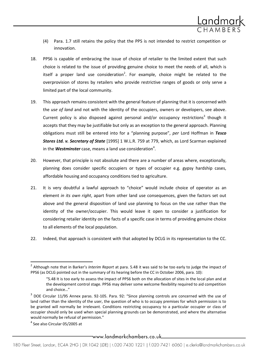

- (4) Para. 1.7 still retains the policy that the PPS is not intended to restrict competition or innovation.
- 18. PPS6 is capable of embracing the issue of choice of retailer to the limited extent that such choice is related to the issue of providing genuine choice to meet the needs of all, which is itself a proper land use consideration<sup>2</sup>. For example, choice might be related to the overprovision of stores by retailers who provide restrictive ranges of goods or only serve a limited part of the local community.
- 19. This approach remains consistent with the general feature of planning that it is concerned with the *use of land* and not with the identity of the occupiers, owners or developers, see above. Current policy is also disposed against personal and/or occupancy restrictions<sup>3</sup> though it accepts that they may be justifiable but only as an exception to the general approach. Planning obligations must still be entered into for a "planning purpose", *per* Lord Hoffman in *Tesco Stores Ltd. v. Secretary of State* [1995] 1 W.L.R. 759 at 779, which, as Lord Scarman explained in the **Westminster** case, means a land use consideration<sup>4</sup>.
- 20. However, that principle is not absolute and there are a number of areas where, exceptionally, planning does consider specific occupiers or types of occupier e.g. gypsy hardship cases, affordable housing and occupancy conditions tied to agriculture.
- 21. It is very doubtful a lawful approach to "choice" would include choice of operator as an element *in its own right*, apart from other land use consequences, given the factors set out above and the general disposition of land use planning to focus on the use rather than the identity of the owner/occupier. This would leave it open to consider a justification for considering retailer identity on the facts of a specific case in terms of providing genuine choice to all elements of the local population.
- 22. Indeed, that approach is consistent with that adopted by DCLG in its representation to the CC.

 $\overline{\phantom{a}}$ 

—www.landmarkchambers.co.uk—

<sup>2</sup> Although note that in Barker's *Interim Report* at para. 5.48 it was said to be too early to judge the impact of PPS6 (as DCLG pointed out in the summary of its hearing before the CC in October 2006, para. 10):

<sup>&</sup>quot;5.48 It is too early to assess the impact of PPS6 both on the allocation of sites in the local plan and at the development control stage. PPS6 may deliver some welcome flexibility required to aid competition and choice…"

 $3$  DOE Circular 11/95 Annex paras. 92-105. Para. 92: "Since planning controls are concerned with the use of land rather than the identity of the user, the question of who is to occupy premises for which permission is to be granted will normally be irrelevant. Conditions restricting occupancy to a particular occupier or class of occupier should only be used when special planning grounds can be demonstrated, and where the alternative would normally be refusal of permission."

<sup>4</sup> See also Circular 05/2005 at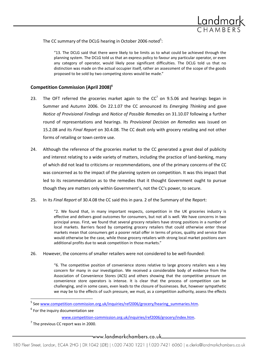

The CC summary of the DCLG hearing in October 2006 noted<sup>5</sup>:

"13. The DCLG said that there were likely to be limits as to what could be achieved through the planning system. The DCLG told us that an express policy to favour any particular operator, or even any category of operator, would likely pose significant difficulties. The DCLG told us that no distinction was made on the actual occupier itself, rather an assessment of the scope of the goods proposed to be sold by two competing stores would be made."

#### **Competition Commission (April 2008)<sup>6</sup>**

- 23. The OFT referred the groceries market again to the  $CC<sup>7</sup>$  on 9.5.06 and hearings began in Summer and Autumn 2006. On 22.1.07 the CC announced its *Emerging Thinking* and gave *Notice of Provisional Findings* and *Notice of Possible Remedies* on 31.10.07 following a further round of representations and hearings. Its *Provisional Decision on Remedies* was issued on 15.2.08 and its *Final Report* on 30.4.08. The CC dealt only with grocery retailing and not other forms of retailing or town centre use.
- 24. Although the reference of the groceries market to the CC generated a great deal of publicity and interest relating to a wide variety of matters, including the practice of land-banking, many of which did not lead to criticisms or recommendations, one of the primary concerns of the CC was concerned as to the impact of the planning system on competition. It was this impact that led to its recommendation as to the remedies that it thought Government ought to pursue though they are matters only within Government's, not the CC's power, to secure.
- 25. In its *Final Report* of 30.4.08 the CC said this in para. 2 of the Summary of the Report:

"2. We found that, in many important respects, competition in the UK groceries industry is effective and delivers good outcomes for consumers, but not all is well. We have concerns in two principal areas. First, we found that several grocery retailers have strong positions in a number of local markets. Barriers faced by competing grocery retailers that could otherwise enter these markets mean that consumers get a poorer retail offer in terms of prices, quality and service than would otherwise be the case, while those grocery retailers with strong local market positions earn additional profits due to weak competition in those markets."

26. However, the concerns of smaller retailers were not considered to be well-founded:

"6. The competitive position of convenience stores relative to large grocery retailers was a key concern for many in our investigation. We received a considerable body of evidence from the Association of Convenience Stores (ACS) and others showing that the competitive pressure on convenience store operators is intense. It is clear that the process of competition can be challenging, and in some cases, even leads to the closure of businesses. But, however sympathetic we may be to the effects of such pressure, we must, as a competition authority, assess the effects

 $\overline{\phantom{a}}$ 

<sup>&</sup>lt;sup>5</sup> See www.competition-commission.org.uk/inquiries/ref2006/grocery/hearing summaries.htm.

 $<sup>6</sup>$  For the inquiry documentation see</sup>

[www.competition-commission.org.uk/inquiries/ref2006/grocery/index.htm.](http://www.competition-commission.org.uk/inquiries/ref2006/grocery/index.htm)

 $<sup>7</sup>$  The previous CC report was in 2000.</sup>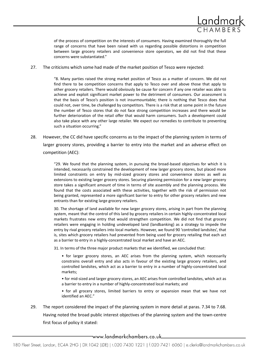

of the process of competition on the interests of consumers. Having examined thoroughly the full range of concerns that have been raised with us regarding possible distortions in competition between large grocery retailers and convenience store operators, we did not find that these concerns were substantiated."

#### 27. The criticisms which some had made of the market position of Tesco were rejected:

"8. Many parties raised the strong market position of Tesco as a matter of concern. We did not find there to be competition concerns that apply to Tesco over and above those that apply to other grocery retailers. There would obviously be cause for concern if any one retailer was able to achieve and exploit significant market power to the detriment of consumers. Our assessment is that the basis of Tesco's position is not insurmountable; there is nothing that Tesco does that could not, over time, be challenged by competitors. There is a risk that at some point in the future the number of Tesco stores that do not face strong competition increases and there would be further deterioration of the retail offer that would harm consumers. Such a development could also take place with any other large retailer. We expect our remedies to contribute to preventing such a situation occurring."

28. However, the CC did have specific concerns as to the impact of the planning system in terms of larger grocery stores, providing a barrier to entry into the market and an adverse effect on competition (AEC):

> "29. We found that the planning system, in pursuing the broad-based objectives for which it is intended, necessarily constrained the development of new larger grocery stores, but placed more limited constraints on entry by mid-sized grocery stores and convenience stores as well as extensions to existing larger grocery stores. Securing planning permission for a new larger grocery store takes a significant amount of time in terms of site assembly and the planning process. We found that the costs associated with these activities, together with the risk of permission not being granted, represented a more significant barrier to entry for other grocery retailers and new entrants than for existing large grocery retailers.

> 30. The shortage of land available for new larger grocery stores, arising in part from the planning system, meant that the control of this land by grocery retailers in certain highly-concentrated local markets frustrates new entry that would strengthen competition. We did not find that grocery retailers were engaging in holding undeveloped land (landbanking) as a strategy to impede the entry by rival grocery retailers into local markets. However, we found 90 'controlled landsites', that is, sites which grocery retailers had prevented from being used for grocery retailing that each act as a barrier to entry in a highly-concentrated local market and have an AEC.

31. In terms of the three major product markets that we identified, we concluded that:

• for larger grocery stores, an AEC arises from the planning system, which necessarily constrains overall entry and also acts in favour of the existing large grocery retailers, and controlled landsites, which act as a barrier to entry in a number of highly-concentrated local markets;

• for mid-sized and larger grocery stores, an AEC arises from controlled landsites, which act as a barrier to entry in a number of highly-concentrated local markets; and

• for all grocery stores, limited barriers to entry or expansion mean that we have not identified an AEC."

29. The report considered the impact of the planning system in more detail at paras. 7.34 to 7.68. Having noted the broad public interest objectives of the planning system and the town-centre first focus of policy it stated:

\_www.landmarkchambers.co.uk\_\_\_\_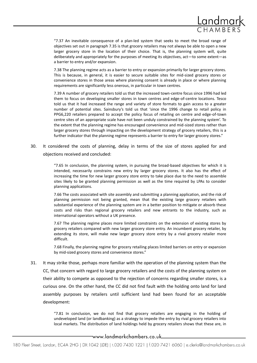

"7.37 An inevitable consequence of a plan-led system that seeks to meet the broad range of objectives set out in paragraph 7.35 is that grocery retailers may not always be able to open a new larger grocery store in the location of their choice. That is, the planning system will, quite deliberately and appropriately for the purposes of meeting its objectives, act—to some extent—as a barrier to entry and/or expansion.

7.38 The planning regime acts as a barrier to entry or expansion primarily for larger grocery stores. This is because, in general, it is easier to secure suitable sites for mid-sized grocery stores or convenience stores in those areas where planning consent is already in place or where planning requirements are significantly less onerous, in particular in town centres.

7.39 A number of grocery retailers told us that the increased town-centre focus since 1996 had led them to focus on developing smaller stores in town centres and edge-of-centre locations. Tesco told us that it had increased the range and variety of store formats to gain access to a greater number of potential sites. Sainsbury's told us that 'since the 1996 change to retail policy in PPG6,220 retailers prepared to accept the policy focus of retailing on centre and edge-of-town centre sites of an appropriate scale have not been unduly constrained by the planning system'. To the extent that the planning regime has encouraged convenience and mid-sized stores rather than larger grocery stores through impacting on the development strategy of grocery retailers, this is a further indicator that the planning regime represents a barrier to entry for larger grocery stores."

30. It considered the costs of planning, delay in terms of the size of stores applied for and objections received and concluded:

> "7.65 In conclusion, the planning system, in pursuing the broad-based objectives for which it is intended, necessarily constrains new entry by larger grocery stores. It also has the effect of increasing the time for new larger grocery store entry to take place due to the need to assemble sites likely to be granted planning permission as well as the time required by LPAs to consider planning applications.

> 7.66 The costs associated with site assembly and submitting a planning application, and the risk of planning permission not being granted, mean that the existing large grocery retailers with substantial experience of the planning system are in a better position to mitigate or absorb these costs and risks than regional grocery retailers and new entrants to the industry, such as international operators without a UK presence.

> 7.67 The planning regime places more limited constraints on the extension of existing stores by grocery retailers compared with new larger grocery store entry. An incumbent grocery retailer, by extending its store, will make new larger grocery store entry by a rival grocery retailer more difficult.

> 7.68 Finally, the planning regime for grocery retailing places limited barriers on entry or expansion by mid-sized grocery stores and convenience stores."

31. It may strike those, perhaps more familiar with the operation of the planning system than the CC, that concern with regard to large grocery retailers and the costs of the planning system on their ability to compete as opposed to the rejection of concerns regarding smaller stores, is a curious one. On the other hand, the CC did not find fault with the holding onto land for land assembly purposes by retailers until sufficient land had been found for an acceptable development:

> "7.81 In conclusion, we do not find that grocery retailers are engaging in the holding of undeveloped land (or landbanking) as a strategy to impede the entry by rival grocery retailers into local markets. The distribution of land holdings held by grocery retailers shows that these are, in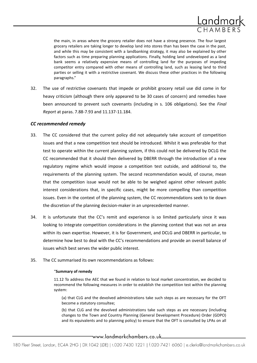

the main, in areas where the grocery retailer does not have a strong presence. The four largest grocery retailers are taking longer to develop land into stores than has been the case in the past, and while this may be consistent with a landbanking strategy, it may also be explained by other factors such as time preparing planning applications. Finally, holding land undeveloped as a land bank seems a relatively expensive means of controlling land for the purposes of impeding competitor entry compared with other means of controlling land, such as leasing land to third parties or selling it with a restrictive covenant. We discuss these other practices in the following paragraphs."

32. The use of restrictive covenants that impede or prohibit grocery retail use did come in for heavy criticism (although there only appeared to be 30 cases of concern) and remedies have been announced to prevent such covenants (including in s. 106 obligations). See the *Final Report* at paras. 7.88-7.93 and 11.137-11.184.

#### *CC recommended remedy*

- 33. The CC considered that the current policy did not adequately take account of competition issues and that a new competition test should be introduced. Whilst it was preferable for that test to operate within the current planning system, if this could not be delivered by DCLG the CC recommended that it should then delivered by DBERR through the introduction of a new regulatory regime which would impose a competition test outside, and additional to, the requirements of the planning system. The second recommendation would, of course, mean that the competition issue would not be able to be weighed against other relevant public interest considerations that, in specific cases, might be more compelling than competition issues. Even in the context of the planning system, the CC recommendations seek to tie down the discretion of the planning decision-maker in an unprecedented manner.
- 34. It is unfortunate that the CC's remit and experience is so limited particularly since it was looking to integrate competition considerations in the planning context that was not an area within its own expertise. However, it is for Government, and DCLG and DBERR in particular, to determine how best to deal with the CC's recommendations and provide an overall balance of issues which best serves the wider public interest.
- 35. The CC summarised its own recommendations as follows:

#### "**Summary of remedy**

11.12 To address the AEC that we found in relation to local market concentration, we decided to recommend the following measures in order to establish the competition test within the planning system:

(a) that CLG and the devolved administrations take such steps as are necessary for the OFT become a statutory consultee;

(b) that CLG and the devolved administrations take such steps as are necessary (including changes to the Town and Country Planning (General Development Procedure) Order (GDPO) and its equivalents and to planning policy) to ensure that the OFT is consulted by LPAs on all

\_www.landmarkchambers.co.uk\_\_\_\_\_\_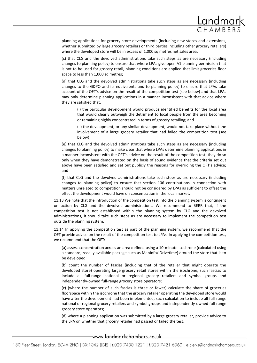

planning applications for grocery store developments (including new stores and extensions, whether submitted by large grocery retailers or third parties including other grocery retailers) where the developed store will be in excess of 1,000 sq metres net sales area;

(c) that CLG and the devolved administrations take such steps as are necessary (including changes to planning policy) to ensure that where LPAs give open A1 planning permission that is not to be used for grocery retail, planning conditions are applied that limit groceries floor space to less than 1,000 sq metres;

(d) that CLG and the devolved administrations take such steps as are necessary (including changes to the GDPO and its equivalents and to planning policy) to ensure that LPAs take account of the OFT's advice on the result of the competition test (see below) and that LPAs may only determine planning applications in a manner inconsistent with that advice where they are satisfied that:

(i) the particular development would produce identified benefits for the local area that would clearly outweigh the detriment to local people from the area becoming or remaining highly concentrated in terms of grocery retailing; and

(ii) the development, or any similar development, would not take place without the involvement of a large grocery retailer that had failed the competition test (see below);

(e) that CLG and the devolved administrations take such steps as are necessary (including changes to planning policy) to make clear that where LPAs determine planning applications in a manner inconsistent with the OFT's advice on the result of the competition test, they do so only when they have demonstrated on the basis of sound evidence that the criteria set out above have been satisfied and set out publicly the reasons for overriding the OFT's advice; and

(f) that CLG and the devolved administrations take such steps as are necessary (including changes to planning policy) to ensure that section 106 contributions in connection with matters unrelated to competition should not be considered by LPAs as sufficient to offset the effect the development would have on concentration in the local market.

11.13 We note that the introduction of the competition test into the planning system is contingent on action by CLG and the devolved administrations. We recommend to BERR that, if the competition test is not established within the planning system by CLG and the devolved administrations, it should take such steps as are necessary to implement the competition test outside the planning system.

11.14 In applying the competition test as part of the planning system, we recommend that the OFT provide advice on the result of the competition test to LPAs. In applying the competition test, we recommend that the OFT:

(a) assess concentration across an area defined using a 10-minute isochrone (calculated using a standard, readily available package such as MapInfo/ Drivetime) around the store that is to be developed;

(b) count the number of fascias (including that of the retailer that might operate the developed store) operating large grocery retail stores within the isochrone, such fascias to include all full-range national or regional grocery retailers and symbol groups and independently-owned full-range grocery store operators;

(c) (where the number of such fascias is three or fewer) calculate the share of groceries floorspace within the isochrone that the grocery retailer operating the developed store would have after the development had been implemented, such calculation to include all full-range national or regional grocery retailers and symbol groups and independently-owned full-range grocery store operators;

(d) where a planning application was submitted by a large grocery retailer, provide advice to the LPA on whether that grocery retailer had passed or failed the test;

\_www.landmarkchambers.co.uk\_\_\_\_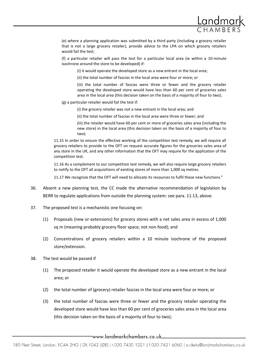

(e) where a planning application was submitted by a third party (including a grocery retailer that is not a large grocery retailer), provide advice to the LPA on which grocery retailers would fail the test;

(f) a particular retailer will pass the test for a particular local area (ie within a 10-minute isochrone around the store to be developed) if:

(i) it would operate the developed store as a new entrant in the local area;

(ii) the total number of fascias in the local area were four or more; or

(iii) the total number of fascias were three or fewer and the grocery retailer operating the developed store would have less than 60 per cent of groceries sales area in the local area (this decision taken on the basis of a majority of four to two);

(g) a particular retailer would fail the test if:

(i) the grocery retailer was not a new entrant in the local area; and

(ii) the total number of fascias in the local area were three or fewer; and

(iii) the retailer would have 60 per cent or more of groceries sales area (including the new store) in the local area (this decision taken on the basis of a majority of four to two).

11.15 In order to ensure the effective working of the competition test remedy, we will require all grocery retailers to provide to the OFT on request accurate figures for the groceries sales area of any store in the UK, and any other information that the OFT may require for the application of the competition test.

11.16 As a complement to our competition test remedy, we will also require large grocery retailers to notify to the OFT all acquisitions of existing stores of more than 1,000 sq metres.

11.17 We recognize that the OFT will need to allocate its resources to fulfil these new functions."

- 36. Absent a new planning test, the CC made the alternative recommendation of legislation by BERR to regulate applications from outside the planning system: see para. 11.13, above.
- 37. The proposed test is a mechanistic one focusing on:
	- (1) Proposals (new or extensions) for grocery stores with a net sales area in excess of 1,000 sq m (meaning probably grocery floor space, not non-food); and
	- (2) Concentrations of grocery retailers within a 10 minute isochrone of the proposed store/extension.
- 38. The test would be passed if
	- (1) The proposed retailer it would operate the developed store as a new entrant in the local area; or
	- (2) the total number of (grocery) retailer fascias in the local area were four or more; or
	- (3) the total number of fascias were three or fewer and the grocery retailer operating the developed store would have less than 60 per cent of groceries sales area in the local area (this decision taken on the basis of a majority of four to two);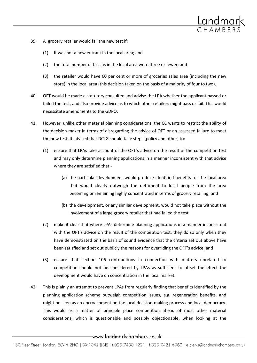

- 39. A grocery retailer would fail the new test if:
	- (1) It was not a new entrant in the local area; and
	- (2) the total number of fascias in the local area were three or fewer; and
	- (3) the retailer would have 60 per cent or more of groceries sales area (including the new store) in the local area (this decision taken on the basis of a majority of four to two).
- 40. OFT would be made a statutory consultee and advise the LPA whether the applicant passed or failed the test, and also provide advice as to which other retailers might pass or fail. This would necessitate amendments to the GDPO.
- 41. However, unlike other material planning considerations, the CC wants to restrict the ability of the decision-maker in terms of disregarding the advice of OFT or an assessed failure to meet the new test. It advised that DCLG should take steps (policy and other) to:
	- (1) ensure that LPAs take account of the OFT's advice on the result of the competition test and may only determine planning applications in a manner inconsistent with that advice where they are satisfied that -
		- (a) the particular development would produce identified benefits for the local area that would clearly outweigh the detriment to local people from the area becoming or remaining highly concentrated in terms of grocery retailing; and
		- (b) the development, or any similar development, would not take place without the involvement of a large grocery retailer that had failed the test
	- (2) make it clear that where LPAs determine planning applications in a manner inconsistent with the OFT's advice on the result of the competition test, they do so only when they have demonstrated on the basis of sound evidence that the criteria set out above have been satisfied and set out publicly the reasons for overriding the OFT's advice; and
	- (3) ensure that section 106 contributions in connection with matters unrelated to competition should not be considered by LPAs as sufficient to offset the effect the development would have on concentration in the local market.
- 42. This is plainly an attempt to prevent LPAs from regularly finding that benefits identified by the planning application scheme outweigh competition issues, e.g. regeneration benefits, and might be seen as an encroachment on the local decision-making process and local democracy. This would as a matter of principle place competition ahead of most other material considerations, which is questionable and possibly objectionable, when looking at the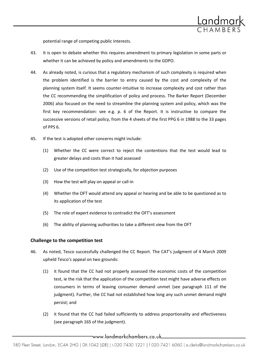

potential range of competing public interests.

- 43. It is open to debate whether this requires amendment to primary legislation in some parts or whether it can be achieved by policy and amendments to the GDPO.
- 44. As already noted, is curious that a regulatory mechanism of such complexity is required when the problem identified is the barrier to entry caused by the cost and complexity of the planning system itself. It seems counter-intuitive to increase complexity and cost rather than the CC recommending the simplification of policy and process. The Barker Report (December 2006) also focused on the need to streamline the planning system and policy, which was the first key recommendation: see e.g. p. 6 of the Report. It is instructive to compare the successive versions of retail policy, from the 4 sheets of the first PPG 6 in 1988 to the 33 pages of PPS 6.
- 45. If the test is adopted other concerns might include:
	- (1) Whether the CC were correct to reject the contentions that the test would lead to greater delays and costs than it had assessed
	- (2) Use of the competition test strategically, for objection purposes
	- (3) How the test will play on appeal or call-in
	- (4) Whether the OFT would attend any appeal or hearing and be able to be questioned as to its application of the test
	- (5) The role of expert evidence to contradict the OFT's assessment
	- (6) The ability of planning authorities to take a different view from the OFT

#### **Challenge to the competition test**

- 46. As noted, Tesco successfully challenged the CC Report. The CAT's judgment of 4 March 2009 upheld Tesco's appeal on two grounds:
	- (1) it found that the CC had not properly assessed the economic costs of the competition test, ie the risk that the application of the competition test might have adverse effects on consumers in terms of leaving consumer demand unmet (see paragraph 111 of the judgment). Further, the CC had not established how long any such unmet demand might persist; and
	- (2) it found that the CC had failed sufficiently to address proportionality and effectiveness (see paragraph 165 of the judgment).

\_www.landmarkchambers.co.uk\_\_\_\_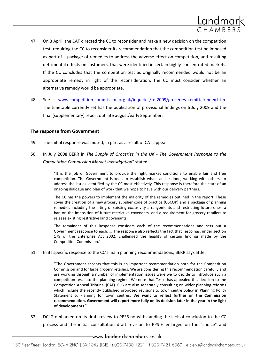

- 47. On 3 April, the CAT directed the CC to reconsider and make a new decision on the competition test, requiring the CC to reconsider its recommendation that the competition test be imposed as part of a package of remedies to address the adverse effect on competition, and resulting detrimental effects on customers, that were identified in certain highly-concentrated markets. If the CC concludes that the competition test as originally recommended would not be an appropriate remedy in light of the reconsideration, the CC must consider whether an alternative remedy would be appropriate.
- 48. See [www.competition-commission.org.uk/inquiries/ref2009/groceries\\_remittal/index.htm.](http://www.competition-commission.org.uk/inquiries/ref2009/groceries_remittal/index.htm) The timetable currently set has the publication of provisional findings on 6 July 2009 and the final (supplementary) report out late august/early September.

#### **The response from Government**

- 49. The initial response was muted, in part as a result of CAT appeal.
- 50. In July 2008 BERR in *The Supply of Groceries in the UK - The Government Response to the Competition Commission Market Investigation*" stated:

"It is the job of Government to provide the right market conditions to enable fair and free competition. The Government is keen to establish what can be done, working with others, to address the issues identified by the CC most effectively. This response is therefore the start of an ongoing dialogue and plan of work that we hope to have with our delivery partners.

The CC has the powers to implement the majority of the remedies outlined in the report. These cover the creation of a new grocery supplier code of practice (GSCOP) and a package of planning remedies including the lifting of existing exclusivity arrangements and restricting future ones, a ban on the imposition of future restrictive covenants, and a requirement for grocery retailers to release existing restrictive land covenants.

The remainder of this Response considers each of the recommendations and sets out a Government response to each. … The response also reflects the fact that Tesco has, under section 179 of the Enterprise Act 2002, challenged the legality of certain findings made by the Competition Commission."

51. In its specific response to the CC's main planning recommendations, BERR says little:

"The Government accepts that this is an important recommendation both for the Competition Commission and for large grocery retailers. We are considering this recommendation carefully and are working through a number of implementation issues were we to decide to introduce such a competition test into the planning regime. We note that Tesco has appealed this decision to the Competition Appeal Tribunal (CAT). CLG are also separately consulting on wider planning reforms which include the recently published proposed revisions to town centre policy in Planning Policy Statement 6: Planning for town centres. **We want to reflect further on the Commission recommendation. Government will report more fully on its decision later in the year in the light of developments**."

52. DCLG embarked on its draft review to PPS6 notwithstanding the lack of conclusion to the CC process and the initial consultation draft revision to PPS 6 enlarged on the "choice" and

\_www.landmarkchambers.co.uk\_\_\_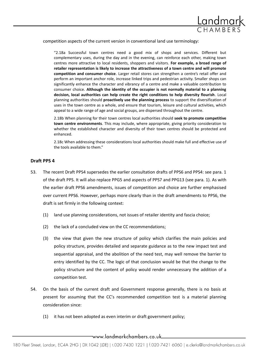

competition aspects of the current version in conventional land use terminology:

"2.18a Successful town centres need a good mix of shops and services. Different but complementary uses, during the day and in the evening, can reinforce each other, making town centres more attractive to local residents, shoppers and visitors. **For example, a broad range of retailer representation is likely to increase the attractiveness of a town centre and will promote competition and consumer choice**. Larger retail stores can strengthen a centre's retail offer and perform an important anchor role, increase linked trips and pedestrian activity. Smaller shops can significantly enhance the character and vibrancy of a centre and make a valuable contribution to consumer choice. **Although the identity of the occupier is not normally material to a planning decision, local authorities can help create the right conditions to help diversity flourish**. Local planning authorities should **proactively use the planning process** to support the diversification of uses in the town centre as a whole, and ensure that tourism, leisure and cultural activities, which appeal to a wide range of age and social groups, are dispersed throughout the centre.

2.18b When planning for their town centres local authorities should **seek to promote competitive town centre environments**. This may include, where appropriate, giving priority consideration to whether the established character and diversity of their town centres should be protected and enhanced.

2.18c When addressing these considerations local authorities should make full and effective use of the tools available to them."

#### **Draft PPS 4**

- 53. The recent Draft PPS4 supersedes the earlier consultation drafts of PPS6 and PPS4: see para. 1 of the draft PPS. It will also replace PPG5 and aspects of PPS7 and PPG13 (see para. 1). As with the earlier draft PPS6 amendments, issues of competition and choice are further emphasised over current PPS6. However, perhaps more clearly than in the draft amendments to PPS6, the draft is set firmly in the following context:
	- (1) land use planning considerations, not issues of retailer identity and fascia choice;
	- (2) the lack of a concluded view on the CC recommendations;
	- (3) the view that given the new structure of policy which clarifies the main policies and policy structure, provides detailed and separate guidance as to the new impact test and sequential appraisal, and the abolition of the need test, may well remove the barrier to entry identified by the CC. The logic of that conclusion would be that the change to the policy structure and the content of policy would render unnecessary the addition of a competition test.
- 54. On the basis of the current draft and Government response generally, there is no basis at present for assuming that the CC's recommended competition test is a material planning consideration since:
	- (1) it has not been adopted as even interim or draft government policy;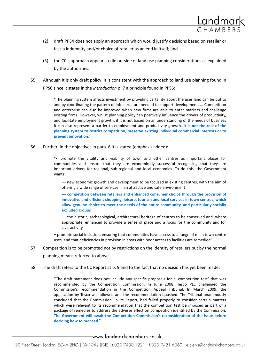

- (2) draft PPS4 does not apply an approach which would justify decisions based on retailer or fascia indemnity and/or choice of retailer as an end in itself; and
- (3) the CC's approach appears to lie outside of land use planning considerations as explained by the authorities.
- 55. Although it is only draft policy, it is consistent with the approach to land use planning found in PPS6 since it states in the *Introduction* p. 7 a principle found in PPS6:

"The planning system affects investment by providing certainty about the uses land can be put to and by coordinating the pattern of infrastructure needed to support development. ... Competition and enterprise can also be improved when new firms are able to enter markets and challenge existing firms. However, whilst planning policy can positively influence the drivers of productivity, and facilitate employment growth, if it is not based on an understanding of the needs of business it can also represent a barrier to employment and productivity growth. **It is not the role of the planning system to restrict competition, preserve existing individual commercial interests or to prevent innovation**."

56. Further, in the objectives in para. 6 it is stated (emphasis added):

"• promote the vitality and viability of town and other centres as important places for communities and ensure that they are economically successful recognising that they are important drivers for regional, sub-regional and local economies. To do this, the Government wants:

–– new economic growth and development to be focused in existing centres, with the aim of offering a wide range of services in an attractive and safe environment

–– **competition between retailers and enhanced consumer choice through the provision of innovative and efficient shopping, leisure, tourism and local services in town centres, which allow genuine choice to meet the needs of the entire community, and particularly socially excluded groups**

–– the historic, archaeological, architectural heritage of centres to be conserved and, where appropriate, enhanced to provide a sense of place and a focus for the community and for civic activity

• promote social inclusion, ensuring that communities have access to a range of main town centre uses, and that deficiencies in provision in areas with poor access to facilities are remedied"

- 57. Competition is to be promoted not by restrictions on the identity of retailers but by the normal planning means referred to above.
- 58. The draft refers to the CC Report at p. 9 and to the fact that no decision has yet been made:

"The draft statement does not include any specific proposals for a 'competition test' that was recommended by the Competition Commission. In June 2008, Tesco PLC challenged the Commission's recommendation in the Competition Appeal Tribunal. In March 2009, the application by Tesco was allowed and the recommendation quashed. The Tribunal unanimously concluded that the Commission, in its Report, had failed properly to consider certain matters which were relevant to its recommendation that the competition test be imposed as part of a package of remedies to address the adverse effect on competition identified by the Commission. **The Government will await the Competition Commission's reconsideration of the issue before deciding how to proceed**."

 $\hspace{0.1em}-$ www.landmarkchambers.co.uk $\hspace{0.1em}-\hspace{0.1em}$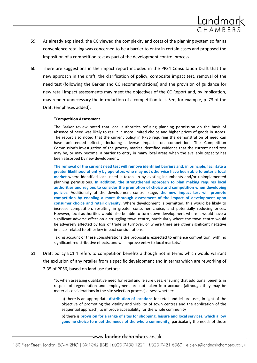

- 59. As already explained, the CC viewed the complexity and costs of the planning system so far as convenience retailing was concerned to be a barrier to entry in certain cases and proposed the imposition of a competition test as part of the development control process.
- 60. There are suggestions in the impact report included in the PPS4 Consultation Draft that the new approach in the draft, the clarification of policy, composite impact test, removal of the need test (following the Barker and CC recommendations) and the provision of guidance for new retail impact assessments may meet the objectives of the CC Report and, by implication, may render unnecessary the introduction of a competition test. See, for example, p. 73 of the Draft (emphases added):

#### "**Competition Assessment**

The Barker review noted that local authorities refusing planning permission on the basis of absence of need was likely to result in more limited choice and higher prices of goods in stores. The report also noted that the current policy in PPS6 requiring the demonstration of need can have unintended effects, including adverse impacts on competition. The Competition Commission's investigation of the grocery market identified evidence that the current need test may be, or may become, a barrier to entry in many local areas when the available capacity has been absorbed by new development.

**The removal of the current need test will remove identified barriers and, in principle, facilitate a greater likelihood of entry by operators who may not otherwise have been able to enter a local market** where identified local need is taken up by existing incumbents and/or unimplemented planning permissions**. In addition, the strengthened approach to plan making requires local authorities and regions to consider the promotion of choice and competition when developing policies**. Additionally at the development control stage, **the new impact test will promote competition by enabling a more thorough assessment of the impact of development upon consumer choice and retail diversity**. Where development is permitted, this would be likely to increase competition, resulting in greater consumer choice, and potentially reducing prices. However, local authorities would also be able to turn down development where it would have a significant adverse effect on a struggling town centre, particularly where the town centre would be adversely affected by loss of trade or turnover, or where there are other significant negative impacts related to other key impact considerations.

Taking account of these considerations the proposal is expected to enhance competition, with no significant redistributive effects, and will improve entry to local markets."

61. Draft policy EC1.4 refers to competition benefits although not in terms which would warrant the exclusion of any retailer from a specific development and in terms which are reworking of 2.35 of PPS6, based on land use factors:

> "5. when assessing qualitative need for retail and leisure uses, ensuring that additional benefits in respect of regeneration and employment are not taken into account (although they may be material considerations in the site selection process) assess whether:

a) there is an appropriate **distribution of locations** for retail and leisure uses, in light of the objective of promoting the vitality and viability of town centres and the application of the sequential approach, to improve accessibility for the whole community

b) there is **provision for a range of sites for shopping, leisure and local services, which allow genuine choice to meet the needs of the whole community**, particularly the needs of those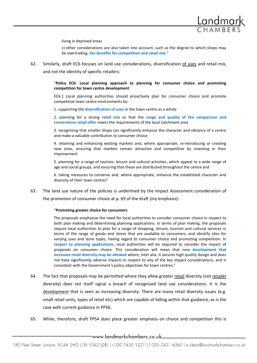

living in deprived areas

c) other considerations are also taken into account, such as the degree to which shops may be overtrading, **the benefits for competition and retail mix**."

62. Similarly, draft EC6 focuses on land use considerations, diversification of uses and retail mix, and not the identity of specific retailers:

> "**Policy EC6: Local planning approach to planning for consumer choice and promoting competition for town centre development**

> EC6.1 Local planning authorities should proactively plan for consumer choice and promote competitive town centre environments by:

1. supporting the **diversification of uses** in the town centre as a whole

2. planning for a strong **retail mix** so that the **range and quality of the comparison and convenience retail offer** meets the requirements of the local catchment area

3. recognising that smaller shops can significantly enhance the character and vibrancy of a centre and make a valuable contribution to consumer choice

4. retaining and enhancing existing markets and, where appropriate, re-introducing or creating new ones, ensuring that markets remain attractive and competitive by investing in their improvement

5. planning for a range of tourism, leisure and cultural activities, which appeal to a wide range of age and social groups, and ensuring that these are distributed throughout the centre and

6. taking measures to conserve and, where appropriate, enhance the established character and diversity of their town centres"

63. The land use nature of the policies is underlined by the Impact Assessment consideration of the promotion of consumer choice at p. 69 of the draft (my emphasis):

#### "**Promoting greater choice for consumers**

The proposals emphasise the need for local authorities to consider consumer choice in respect to both plan making and determining planning applications. In terms of plan making, the proposals require local authorities to plan for a range of shopping, leisure, tourism and cultural services in terms of the range of goods and stores that are available to consumers, and identify sites for varying uses and store types, having regard to consumer choice and promoting competition**. In respect to planning applications**, local authorities will be required to consider the impact of proposals on consumer choice. This consideration will mean that **new development that increases retail diversity may be allowed** where, inter alia, it secures high quality design and does not have significantly adverse impacts in respect to any of the key impact considerations, and is consistent with the Government's policy objectives for town centres."

- 64. The fact that proposals may be permitted where they allow greater retail diversity (not retailer diversity) does not itself signal a breach of recognised land use considerations. It is the development that is seen as increasing diversity. There are many retail diversity issues (e.g. small retail units, types of retail etc) which are capable of falling within that guidance, as is the case with current guidance in PPS6.
- 65. While, therefore, draft PPS4 does place greater emphasis on choice and competition this is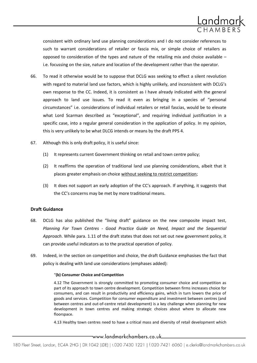

consistent with ordinary land use planning considerations and I do not consider references to such to warrant considerations of retailer or fascia mix, or simple choice of retailers as opposed to consideration of the types and nature of the retailing mix and choice available – i.e. focussing on the size, nature and location of the development rather than the operator.

- 66. To read it otherwise would be to suppose that DCLG was seeking to effect a silent revolution with regard to material land use factors, which is highly unlikely, and inconsistent with DCLG's own response to the CC. Indeed, it is consistent as I have already indicated with the general approach to land use issues. To read it even as bringing in a species of "personal circumstances" i.e. considerations of individual retailers or retail fascias, would be to elevate what Lord Scarman described as "exceptional", and requiring individual justification in a specific case, into a regular general consideration in the application of policy. In my opinion, this is very unlikely to be what DLCG intends or means by the draft PPS 4.
- 67. Although this is only draft policy, it is useful since:
	- (1) It represents current Government thinking on retail and town centre policy;
	- (2) It reaffirms the operation of traditional land use planning considerations, albeit that it places greater emphasis on choice without seeking to restrict competition;
	- (3) It does not support an early adoption of the CC's approach. If anything, it suggests that the CC's concerns may be met by more traditional means.

#### **Draft Guidance**

- 68. DCLG has also published the "living draft" guidance on the new composite impact test, *Planning For Town Centres - Good Practice Guide on Need, Impact and the Sequential Approach*. While para. 1.11 of the draft states that does not set out new government policy, it can provide useful indicators as to the practical operation of policy.
- 69. Indeed, in the section on competition and choice, the draft Guidance emphasises the fact that policy is dealing with land use considerations (emphases added):

#### "**(b) Consumer Choice and Competition**

4.12 The Government is strongly committed to promoting consumer choice and competition as part of its approach to town centre development. Competition between firms increases choice for consumers, and can result in productivity and efficiency gains, which in turn lowers the price of goods and services. Competition for consumer expenditure and investment between centres (and between centres and out-of-centre retail development) is a key challenge when planning for new development in town centres and making strategic choices about where to allocate new floorspace.

4.13 Healthy town centres need to have a critical mass and diversity of retail development which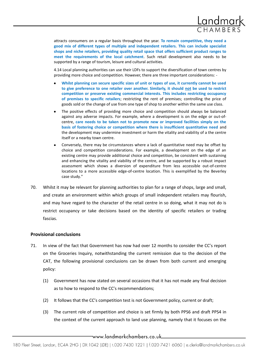

attracts consumers on a regular basis throughout the year. **To remain competitive, they need a good mix of different types of multiple and independent retailers. This can include specialist shops and niche retailers, providing quality retail space that offers sufficient product ranges to meet the requirements of the local catchment**. Such retail development also needs to be supported by a range of tourism, leisure and cultural activities.

4.14 Local planning authorities can use their LDFs to support the diversification of town centres by providing more choice and competition. However, there are three important considerations: -

- **Whilst planning can secure specific sizes of unit or types of use, it currently cannot be used to give preference to one retailer over another. Similarly, it should not be used to restrict competition or preserve existing commercial interests. This includes restricting occupancy of premises to specific retailers**; restricting the rent of premises; controlling the price of goods sold or the change of use from one type of shop to another within the same use class.
- The positive effects of providing more choice and competition should always be balanced against any adverse impacts. For example, where a development is on the edge or out-ofcentre, **care needs to be taken not to promote new or improved facilities simply on the basis of fostering choice or competition where there is insufficient quantitative need** and the development may undermine investment or harm the vitality and viability of a the centre itself or a nearby town centre.
- Conversely, there may be circumstances where a lack of quantitative need may be offset by choice and competition considerations. For example, a development on the edge of an existing centre may provide additional choice and competition, be consistent with sustaining and enhancing the vitality and viability of the centre, and be supported by a robust impact assessment which shows a diversion of expenditure from less accessible out-of-centre locations to a more accessible edge-of-centre location. This is exemplified by the Beverley case study."
- 70. Whilst it may be relevant for planning authorities to plan for a range of shops, large and small, and create an environment within which groups of small independent retailers may flourish, and may have regard to the character of the retail centre in so doing, what it may not do is restrict occupancy or take decisions based on the identity of specific retailers or trading fascias.

#### **Provisional conclusions**

- 71. In view of the fact that Government has now had over 12 months to consider the CC's report on the Groceries Inquiry, notwithstanding the current remission due to the decision of the CAT, the following provisional conclusions can be drawn from both current and emerging policy:
	- (1) Government has now stated on several occasions that it has not made any final decision as to how to respond to the CC's recommendations;
	- (2) It follows that the CC's competition test is not Government policy, current or draft;
	- (3) The current role of competition and choice is set firmly by both PPS6 and draft PPS4 in the context of the current approach to land use planning, namely that it focuses on the